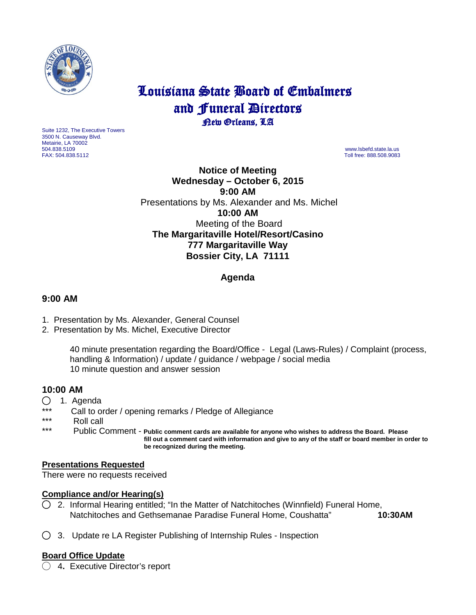

# Louisiana State Board of Embalmers and **Funeral Directors**<br>**Dew Orleans**, LA

Suite 1232, The Executive Towers 3500 N. Causeway Blvd. Metairie, LA 70002 504.838.5109 www.lsbefd.state.la.us

Toll free: 888.508.9083

**Notice of Meeting Wednesday – October 6, 2015 9:00 AM**  Presentations by Ms. Alexander and Ms. Michel **10:00 AM**  Meeting of the Board **The Margaritaville Hotel/Resort/Casino 777 Margaritaville Way Bossier City, LA 71111**

## **Agenda**

#### **9:00 AM**

- 1. Presentation by Ms. Alexander, General Counsel
- 2. Presentation by Ms. Michel, Executive Director

40 minute presentation regarding the Board/Office - Legal (Laws-Rules) / Complaint (process, handling & Information) / update / guidance / webpage / social media 10 minute question and answer session

### **10:00 AM**

- ◯ 1. Agenda
- \*\*\* Call to order / opening remarks / Pledge of Allegiance
- \*\*\* Roll call<br>\*\*\* Publie C

Public Comment - Public comment cards are available for anyone who wishes to address the Board. Please  **fill out a comment card with information and give to any of the staff or board member in order to be recognized during the meeting.**

#### **Presentations Requested**

There were no requests received

#### **Compliance and/or Hearing(s)**

- $\bigcirc$  2. Informal Hearing entitled; "In the Matter of Natchitoches (Winnfield) Funeral Home, Natchitoches and Gethsemanae Paradise Funeral Home, Coushatta" **10:30AM**
- ◯3. Update re LA Register Publishing of Internship Rules Inspection

#### **Board Office Update**

◯ 4**.** Executive Director's report